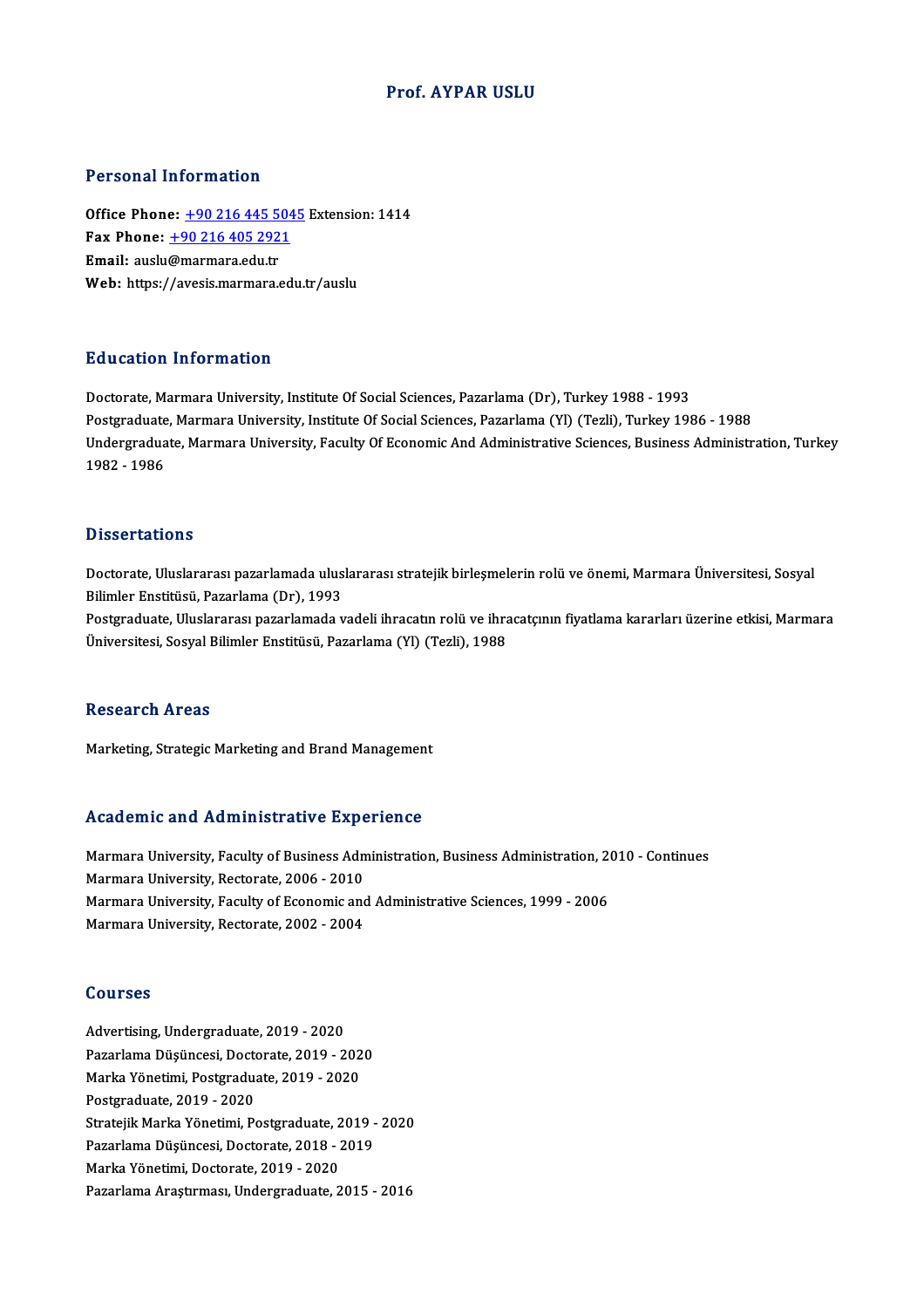## Prof. AYPAR USLU

## Personal Information

Office Phone: +90 216 445 5045 Extension: 1414 Fax Phone: <u>+90 216 445 504</u><br>Fax Phone: <u>+90 216 405 2921</u><br>Fmail: auslu@marmars.edu.tr Office Phone: <u>+90 216 445 5</u><br>Fax Phone: <u>+90 216 405 292</u><br>Email: auslu[@marmara.edu.tr](tel:+90 216 405 2921) Email: auslu@marmara.edu.tr<br>Web: https://avesis.marmara.edu.tr/auslu

## Education Information

Doctorate, Marmara University, Institute Of Social Sciences, Pazarlama (Dr), Turkey 1988 - 1993 Puusutton Throt Inderon<br>Doctorate, Marmara University, Institute Of Social Sciences, Pazarlama (Dr), Turkey 1988 - 1993<br>Postgraduate, Marmara University, Institute Of Social Sciences, Pazarlama (Yl) (Tezli), Turkey 1986 - Undergraduate, Marmara University, Faculty Of Economic And Administrative Sciences, Business Administration, Turkey<br>1982 - 1986 Postgraduate<br>Undergradua<br>1982 - 1986

#### **Dissertations**

Dissertations<br>Doctorate, Uluslararası pazarlamada uluslararası stratejik birleşmelerin rolü ve önemi, Marmara Üniversitesi, Sosyal<br>Bilimlar Enstitüsü, Pazarlama (Dr), 1993 Bilimler<br>Doctorate, Uluslararası pazarlamada ulus<br>Bilimler Enstitüsü, Pazarlama (Dr), 1993<br>Postavaduata Uluslararası pazarlamada y

Bilimler Enstitüsü, Pazarlama (Dr), 1993<br>Postgraduate, Uluslararası pazarlamada vadeli ihracatın rolü ve ihracatçının fiyatlama kararları üzerine etkisi, Marmara Üniversitesi, Sosyal Bilimler Enstitüsü, Pazarlama (Yl) (Tezli), 1988

### Research Areas

Marketing, Strategic Marketing and Brand Management

## Academic and Administrative Experience

Academic and Administrative Experience<br>Marmara University, Faculty of Business Administration, Business Administration, 2010 - Continues<br>Marmara University, Pectarate 2006 - 2010 Marmara University, Faculty of Business Adm<br>Marmara University, Faculty of Business Adm<br>Marmara University, Rectorate, 2006 - 2010 Marmara University, Faculty of Business Administration, Business Administration, 20<br>Marmara University, Rectorate, 2006 - 2010<br>Marmara University, Faculty of Economic and Administrative Sciences, 1999 - 2006<br>Marmara Univer Marmara University, Rectorate, 2006 - 2010<br>Marmara University, Faculty of Economic and Administrative Sciences, 1999 - 2006<br>Marmara University, Rectorate, 2002 - 2004

### Courses

Advertising,Undergraduate,2019 -2020 Pazarlama Düşüncesi, Doctorate, 2019 - 2020 Advertising, Undergraduate, 2019 - 2020<br>Pazarlama Düşüncesi, Doctorate, 2019 - 202<br>Marka Yönetimi, Postgraduate, 2019 - 2020<br>Postgraduate, 2019 - 2020 Pazarlama Düşüncesi, Docto<br>Marka Yönetimi, Postgraduat<br>Postgraduate, 2019 - 2020<br>Strateill: Marka Yönetimi, Pe Postgraduate, 2019 - 2020<br>Stratejik Marka Yönetimi, Postgraduate, 2019 - 2020 Postgraduate, 2019 - 2020<br>Stratejik Marka Yönetimi, Postgraduate, 2019 -<br>Pazarlama Düşüncesi, Doctorate, 2018 - 2019<br>Marka Vänetimi, Doctorate, 2019 - 2020 Stratejik Marka Yönetimi, Postgraduate, 2<br>Pazarlama Düşüncesi, Doctorate, 2018 - 2<br>Marka Yönetimi, Doctorate, 2019 - 2020<br>Pazarlama Arastuması, Undergraduate, 2 Marka Yönetimi, Doctorate, 2019 - 2020<br>Pazarlama Araştırması, Undergraduate, 2015 - 2016